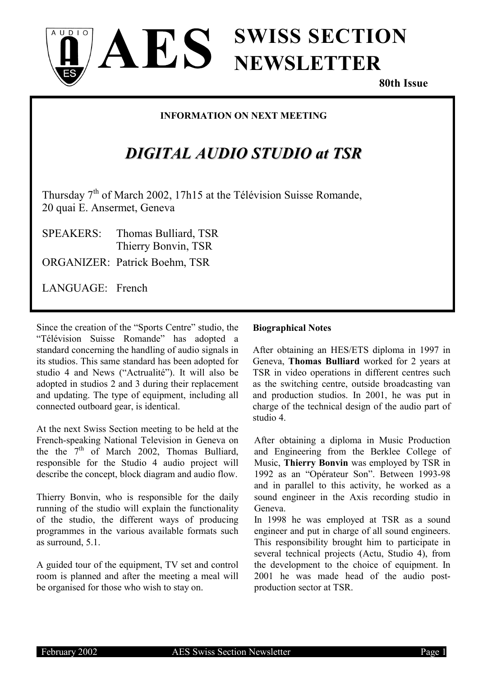

**80th Issue**

### **INFORMATION ON NEXT MEETING**

# *DIGITAL AUDIO STUDIO at TSR*

Thursday  $7<sup>th</sup>$  of March 2002, 17h15 at the Télévision Suisse Romande, 20 quai E. Ansermet, Geneva

AES.

SPEAKERS: Thomas Bulliard, TSR Thierry Bonvin, TSR ORGANIZER: Patrick Boehm, TSR

LANGUAGE: French

 $11D1O$ 

Since the creation of the "Sports Centre" studio, the "Télévision Suisse Romande" has adopted a standard concerning the handling of audio signals in its studios. This same standard has been adopted for studio 4 and News ("Actrualité"). It will also be adopted in studios 2 and 3 during their replacement and updating. The type of equipment, including all connected outboard gear, is identical.

At the next Swiss Section meeting to be held at the French-speaking National Television in Geneva on the the  $7<sup>th</sup>$  of March 2002, Thomas Bulliard, responsible for the Studio 4 audio project will describe the concept, block diagram and audio flow.

Thierry Bonvin, who is responsible for the daily running of the studio will explain the functionality of the studio, the different ways of producing programmes in the various available formats such as surround, 5.1.

A guided tour of the equipment, TV set and control room is planned and after the meeting a meal will be organised for those who wish to stay on.

### **Biographical Notes**

After obtaining an HES/ETS diploma in 1997 in Geneva, **Thomas Bulliard** worked for 2 years at TSR in video operations in different centres such as the switching centre, outside broadcasting van and production studios. In 2001, he was put in charge of the technical design of the audio part of studio 4.

After obtaining a diploma in Music Production and Engineering from the Berklee College of Music, **Thierry Bonvin** was employed by TSR in 1992 as an "Opérateur Son". Between 1993-98 and in parallel to this activity, he worked as a sound engineer in the Axis recording studio in Geneva.

In 1998 he was employed at TSR as a sound engineer and put in charge of all sound engineers. This responsibility brought him to participate in several technical projects (Actu, Studio 4), from the development to the choice of equipment. In 2001 he was made head of the audio postproduction sector at TSR.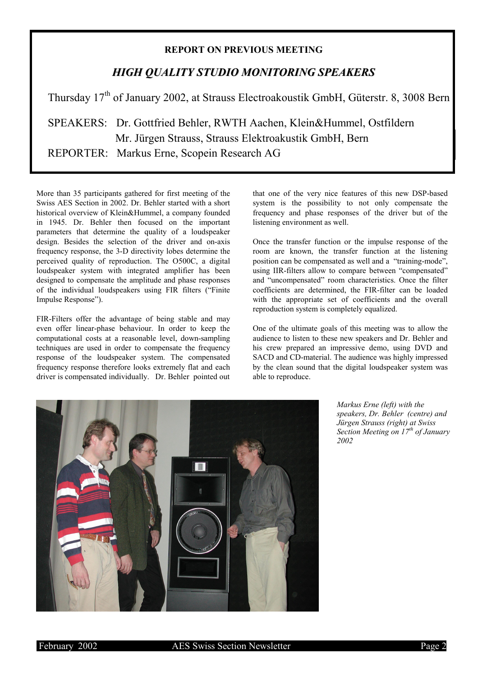#### **REPORT ON PREVIOUS MEETING**

### *HIGH QUALITY STUDIO MONITORING SPEAKERS*

Thursday 17<sup>th</sup> of January 2002, at Strauss Electroakoustik GmbH, Güterstr. 8, 3008 Bern

 SPEAKERS: Dr. Gottfried Behler, RWTH Aachen, Klein&Hummel, Ostfildern Mr. Jürgen Strauss, Strauss Elektroakustik GmbH, Bern REPORTER: Markus Erne, Scopein Research AG

More than 35 participants gathered for first meeting of the Swiss AES Section in 2002. Dr. Behler started with a short historical overview of Klein&Hummel, a company founded in 1945. Dr. Behler then focused on the important parameters that determine the quality of a loudspeaker design. Besides the selection of the driver and on-axis frequency response, the 3-D directivity lobes determine the perceived quality of reproduction. The O500C, a digital loudspeaker system with integrated amplifier has been designed to compensate the amplitude and phase responses of the individual loudspeakers using FIR filters ("Finite Impulse Response").

FIR-Filters offer the advantage of being stable and may even offer linear-phase behaviour. In order to keep the computational costs at a reasonable level, down-sampling techniques are used in order to compensate the frequency response of the loudspeaker system. The compensated frequency response therefore looks extremely flat and each driver is compensated individually. Dr. Behler pointed out that one of the very nice features of this new DSP-based system is the possibility to not only compensate the frequency and phase responses of the driver but of the listening environment as well.

Once the transfer function or the impulse response of the room are known, the transfer function at the listening position can be compensated as well and a "training-mode", using IIR-filters allow to compare between "compensated" and "uncompensated" room characteristics. Once the filter coefficients are determined, the FIR-filter can be loaded with the appropriate set of coefficients and the overall reproduction system is completely equalized.

One of the ultimate goals of this meeting was to allow the audience to listen to these new speakers and Dr. Behler and his crew prepared an impressive demo, using DVD and SACD and CD-material. The audience was highly impressed by the clean sound that the digital loudspeaker system was able to reproduce.



*Markus Erne (left) with the speakers, Dr. Behler (centre) and Jürgen Strauss (right) at Swiss Section Meeting on 17th of January 2002*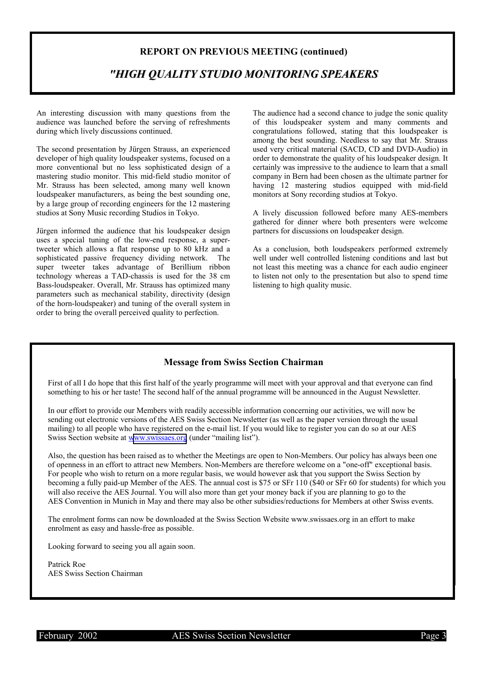#### **REPORT ON PREVIOUS MEETING (continued)**

### *"HIGH QUALITY STUDIO MONITORING SPEAKERS*

An interesting discussion with many questions from the audience was launched before the serving of refreshments during which lively discussions continued.

The second presentation by Jürgen Strauss, an experienced developer of high quality loudspeaker systems, focused on a more conventional but no less sophisticated design of a mastering studio monitor. This mid-field studio monitor of Mr. Strauss has been selected, among many well known loudspeaker manufacturers, as being the best sounding one, by a large group of recording engineers for the 12 mastering studios at Sony Music recording Studios in Tokyo.

Jürgen informed the audience that his loudspeaker design uses a special tuning of the low-end response, a supertweeter which allows a flat response up to 80 kHz and a sophisticated passive frequency dividing network. The super tweeter takes advantage of Berillium ribbon technology whereas a TAD-chassis is used for the 38 cm Bass-loudspeaker. Overall, Mr. Strauss has optimized many parameters such as mechanical stability, directivity (design of the horn-loudspeaker) and tuning of the overall system in order to bring the overall perceived quality to perfection.

The audience had a second chance to judge the sonic quality of this loudspeaker system and many comments and congratulations followed, stating that this loudspeaker is among the best sounding. Needless to say that Mr. Strauss used very critical material (SACD, CD and DVD-Audio) in order to demonstrate the quality of his loudspeaker design. It certainly was impressive to the audience to learn that a small company in Bern had been chosen as the ultimate partner for having 12 mastering studios equipped with mid-field monitors at Sony recording studios at Tokyo.

A lively discussion followed before many AES-members gathered for dinner where both presenters were welcome partners for discussions on loudspeaker design.

As a conclusion, both loudspeakers performed extremely well under well controlled listening conditions and last but not least this meeting was a chance for each audio engineer to listen not only to the presentation but also to spend time listening to high quality music.

#### **Message from Swiss Section Chairman**

First of all I do hope that this first half of the yearly programme will meet with your approval and that everyone can find something to his or her taste! The second half of the annual programme will be announced in the August Newsletter.

 In our effort to provide our Members with readily accessible information concerning our activities, we will now be sending out electronic versions of the AES Swiss Section Newsletter (as well as the paper version through the usual mailing) to all people who have registered on the e-mail list. If you would like to register you can do so at our AES Swiss Section website at [www.swissaes.org](http://www.swissaes.org/) (under "mailing list").

 Also, the question has been raised as to whether the Meetings are open to Non-Members. Our policy has always been one of openness in an effort to attract new Members. Non-Members are therefore welcome on a "one-off" exceptional basis. For people who wish to return on a more regular basis, we would however ask that you support the Swiss Section by becoming a fully paid-up Member of the AES. The annual cost is \$75 or SFr 110 (\$40 or SFr 60 for students) for which you will also receive the AES Journal. You will also more than get your money back if you are planning to go to the AES Convention in Munich in May and there may also be other subsidies/reductions for Members at other Swiss events.

 The enrolment forms can now be downloaded at the Swiss Section Website www.swissaes.org in an effort to make enrolment as easy and hassle-free as possible.

Looking forward to seeing you all again soon.

 Patrick Roe AES Swiss Section Chairman